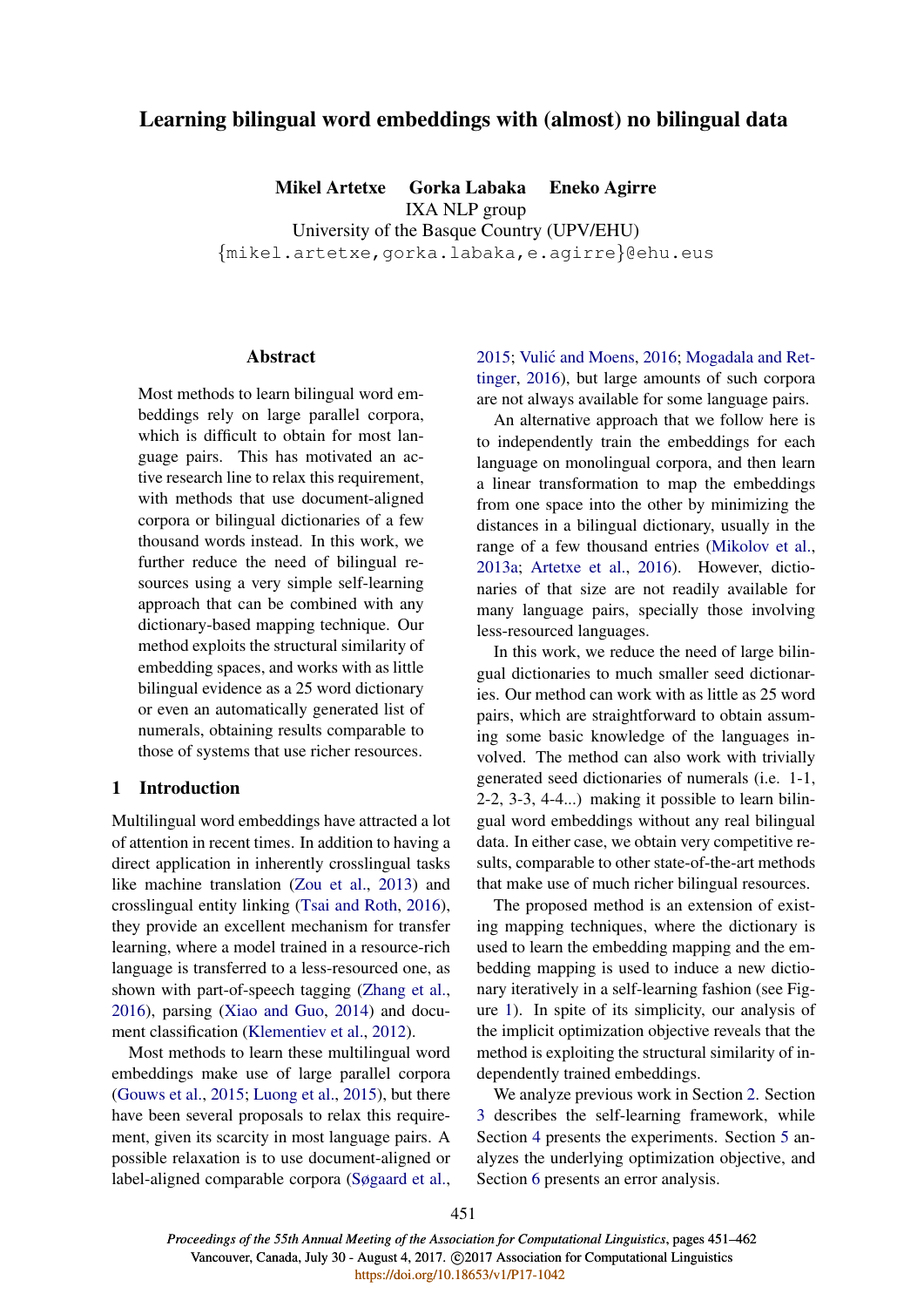# Learning bilingual word embeddings with (almost) no bilingual data

Mikel Artetxe Gorka Labaka Eneko Agirre IXA NLP group

University of the Basque Country (UPV/EHU) {mikel.artetxe,gorka.labaka,e.agirre}@ehu.eus

## **Abstract**

Most methods to learn bilingual word embeddings rely on large parallel corpora, which is difficult to obtain for most language pairs. This has motivated an active research line to relax this requirement, with methods that use document-aligned corpora or bilingual dictionaries of a few thousand words instead. In this work, we further reduce the need of bilingual resources using a very simple self-learning approach that can be combined with any dictionary-based mapping technique. Our method exploits the structural similarity of embedding spaces, and works with as little bilingual evidence as a 25 word dictionary or even an automatically generated list of numerals, obtaining results comparable to those of systems that use richer resources.

## 1 Introduction

Multilingual word embeddings have attracted a lot of attention in recent times. In addition to having a direct application in inherently crosslingual tasks like machine translation (Zou et al., 2013) and crosslingual entity linking (Tsai and Roth, 2016), they provide an excellent mechanism for transfer learning, where a model trained in a resource-rich language is transferred to a less-resourced one, as shown with part-of-speech tagging (Zhang et al., 2016), parsing (Xiao and Guo, 2014) and document classification (Klementiev et al., 2012).

Most methods to learn these multilingual word embeddings make use of large parallel corpora (Gouws et al., 2015; Luong et al., 2015), but there have been several proposals to relax this requirement, given its scarcity in most language pairs. A possible relaxation is to use document-aligned or label-aligned comparable corpora (Søgaard et al.,

2015; Vulić and Moens, 2016; Mogadala and Rettinger, 2016), but large amounts of such corpora are not always available for some language pairs.

An alternative approach that we follow here is to independently train the embeddings for each language on monolingual corpora, and then learn a linear transformation to map the embeddings from one space into the other by minimizing the distances in a bilingual dictionary, usually in the range of a few thousand entries (Mikolov et al., 2013a; Artetxe et al., 2016). However, dictionaries of that size are not readily available for many language pairs, specially those involving less-resourced languages.

In this work, we reduce the need of large bilingual dictionaries to much smaller seed dictionaries. Our method can work with as little as 25 word pairs, which are straightforward to obtain assuming some basic knowledge of the languages involved. The method can also work with trivially generated seed dictionaries of numerals (i.e. 1-1, 2-2, 3-3, 4-4...) making it possible to learn bilingual word embeddings without any real bilingual data. In either case, we obtain very competitive results, comparable to other state-of-the-art methods that make use of much richer bilingual resources.

The proposed method is an extension of existing mapping techniques, where the dictionary is used to learn the embedding mapping and the embedding mapping is used to induce a new dictionary iteratively in a self-learning fashion (see Figure 1). In spite of its simplicity, our analysis of the implicit optimization objective reveals that the method is exploiting the structural similarity of independently trained embeddings.

We analyze previous work in Section 2. Section 3 describes the self-learning framework, while Section 4 presents the experiments. Section 5 analyzes the underlying optimization objective, and Section 6 presents an error analysis.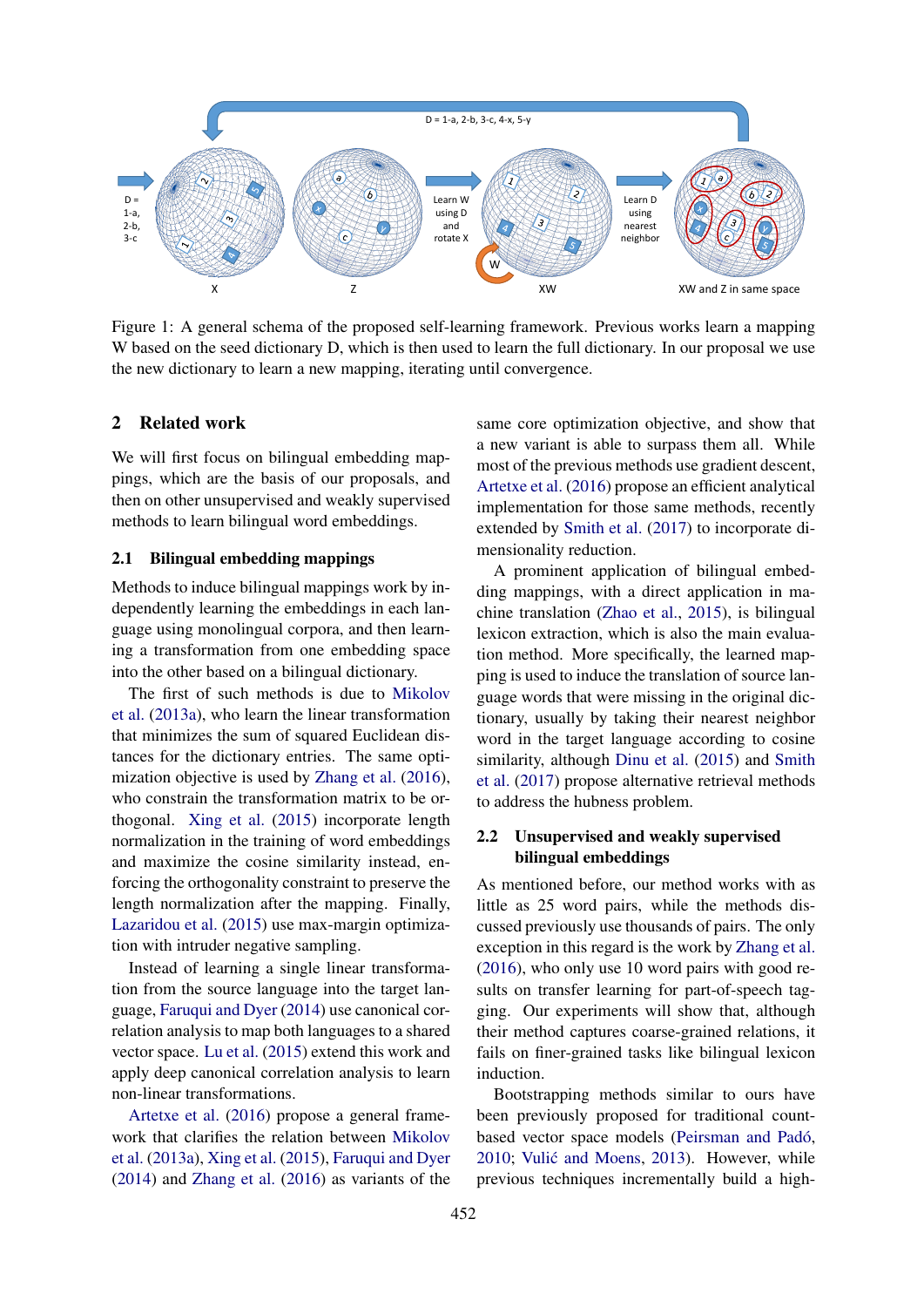

Figure 1: A general schema of the proposed self-learning framework. Previous works learn a mapping W based on the seed dictionary D, which is then used to learn the full dictionary. In our proposal we use the new dictionary to learn a new mapping, iterating until convergence.

#### 2 Related work

We will first focus on bilingual embedding mappings, which are the basis of our proposals, and then on other unsupervised and weakly supervised methods to learn bilingual word embeddings.

#### 2.1 Bilingual embedding mappings

Methods to induce bilingual mappings work by independently learning the embeddings in each language using monolingual corpora, and then learning a transformation from one embedding space into the other based on a bilingual dictionary.

The first of such methods is due to Mikolov et al. (2013a), who learn the linear transformation that minimizes the sum of squared Euclidean distances for the dictionary entries. The same optimization objective is used by Zhang et al. (2016), who constrain the transformation matrix to be orthogonal. Xing et al. (2015) incorporate length normalization in the training of word embeddings and maximize the cosine similarity instead, enforcing the orthogonality constraint to preserve the length normalization after the mapping. Finally, Lazaridou et al. (2015) use max-margin optimization with intruder negative sampling.

Instead of learning a single linear transformation from the source language into the target language, Faruqui and Dyer (2014) use canonical correlation analysis to map both languages to a shared vector space. Lu et al. (2015) extend this work and apply deep canonical correlation analysis to learn non-linear transformations.

Artetxe et al. (2016) propose a general framework that clarifies the relation between Mikolov et al. (2013a), Xing et al. (2015), Faruqui and Dyer (2014) and Zhang et al. (2016) as variants of the

same core optimization objective, and show that a new variant is able to surpass them all. While most of the previous methods use gradient descent, Artetxe et al. (2016) propose an efficient analytical implementation for those same methods, recently extended by Smith et al. (2017) to incorporate dimensionality reduction.

A prominent application of bilingual embedding mappings, with a direct application in machine translation (Zhao et al., 2015), is bilingual lexicon extraction, which is also the main evaluation method. More specifically, the learned mapping is used to induce the translation of source language words that were missing in the original dictionary, usually by taking their nearest neighbor word in the target language according to cosine similarity, although Dinu et al. (2015) and Smith et al. (2017) propose alternative retrieval methods to address the hubness problem.

# 2.2 Unsupervised and weakly supervised bilingual embeddings

As mentioned before, our method works with as little as 25 word pairs, while the methods discussed previously use thousands of pairs. The only exception in this regard is the work by Zhang et al. (2016), who only use 10 word pairs with good results on transfer learning for part-of-speech tagging. Our experiments will show that, although their method captures coarse-grained relations, it fails on finer-grained tasks like bilingual lexicon induction.

Bootstrapping methods similar to ours have been previously proposed for traditional countbased vector space models (Peirsman and Padó, 2010; Vulić and Moens, 2013). However, while previous techniques incrementally build a high-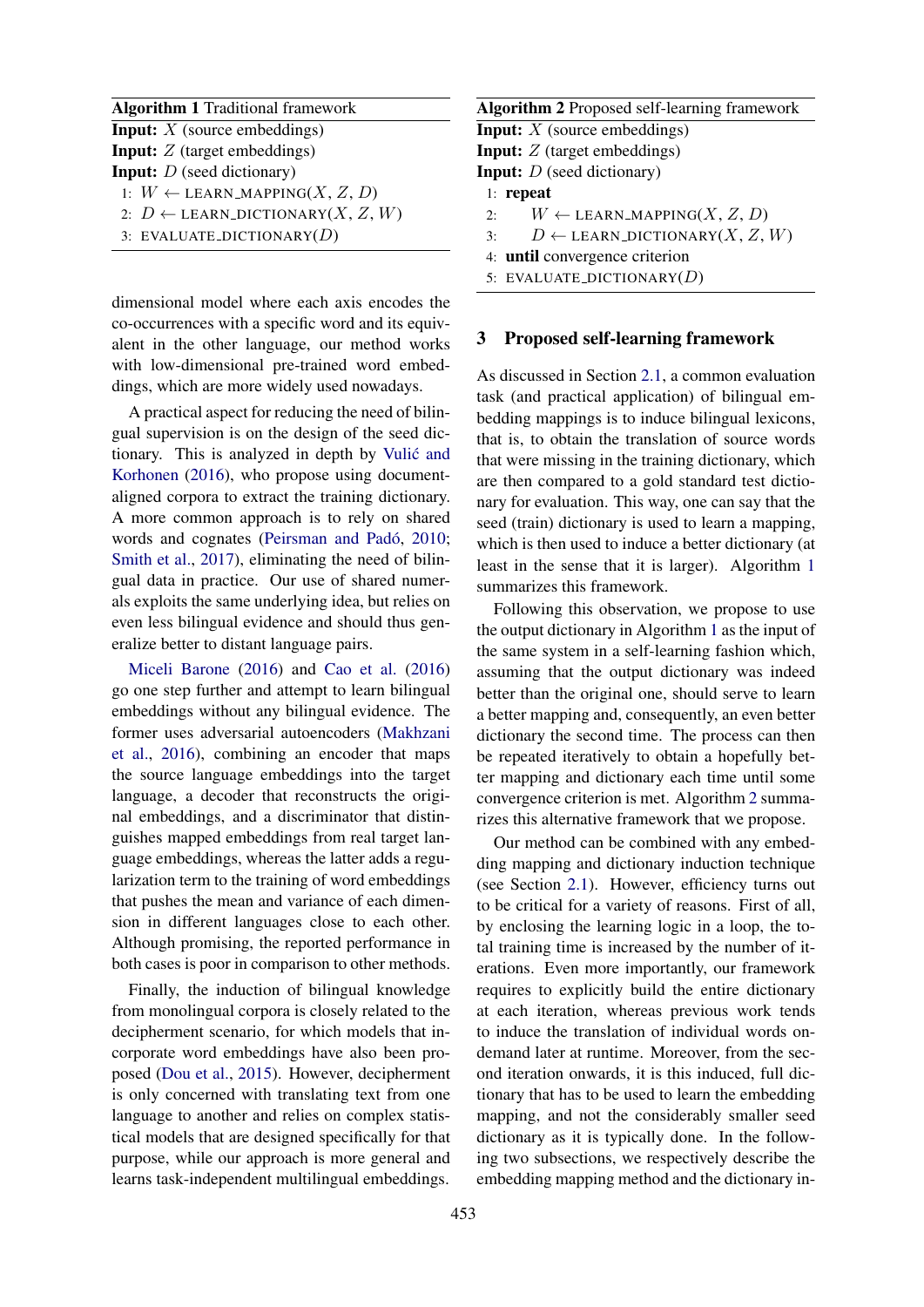| <b>Algorithm 1</b> Traditional framework       |  |  |  |  |  |  |
|------------------------------------------------|--|--|--|--|--|--|
| <b>Input:</b> $X$ (source embeddings)          |  |  |  |  |  |  |
| <b>Input:</b> $Z$ (target embeddings)          |  |  |  |  |  |  |
| <b>Input:</b> $D$ (seed dictionary)            |  |  |  |  |  |  |
| 1: $W \leftarrow$ LEARN_MAPPING(X, Z, D)       |  |  |  |  |  |  |
| 2: $D \leftarrow$ LEARN_DICTIONARY $(X, Z, W)$ |  |  |  |  |  |  |
| 3: EVALUATE_DICTIONARY( $D$ )                  |  |  |  |  |  |  |

dimensional model where each axis encodes the co-occurrences with a specific word and its equivalent in the other language, our method works with low-dimensional pre-trained word embeddings, which are more widely used nowadays.

A practical aspect for reducing the need of bilingual supervision is on the design of the seed dictionary. This is analyzed in depth by Vulic and ´ Korhonen (2016), who propose using documentaligned corpora to extract the training dictionary. A more common approach is to rely on shared words and cognates (Peirsman and Padó, 2010; Smith et al., 2017), eliminating the need of bilingual data in practice. Our use of shared numerals exploits the same underlying idea, but relies on even less bilingual evidence and should thus generalize better to distant language pairs.

Miceli Barone (2016) and Cao et al. (2016) go one step further and attempt to learn bilingual embeddings without any bilingual evidence. The former uses adversarial autoencoders (Makhzani et al., 2016), combining an encoder that maps the source language embeddings into the target language, a decoder that reconstructs the original embeddings, and a discriminator that distinguishes mapped embeddings from real target language embeddings, whereas the latter adds a regularization term to the training of word embeddings that pushes the mean and variance of each dimension in different languages close to each other. Although promising, the reported performance in both cases is poor in comparison to other methods.

Finally, the induction of bilingual knowledge from monolingual corpora is closely related to the decipherment scenario, for which models that incorporate word embeddings have also been proposed (Dou et al., 2015). However, decipherment is only concerned with translating text from one language to another and relies on complex statistical models that are designed specifically for that purpose, while our approach is more general and learns task-independent multilingual embeddings.

| <b>Algorithm 2</b> Proposed self-learning framework  |
|------------------------------------------------------|
| <b>Input:</b> $X$ (source embeddings)                |
| <b>Input:</b> Z (target embeddings)                  |
| <b>Input:</b> $D$ (seed dictionary)                  |
| $1:$ repeat                                          |
| $W \leftarrow$ LEARN_MAPPING(X, Z, D)<br>$2^{\circ}$ |
| $D \leftarrow$ LEARN_DICTIONARY $(X, Z, W)$<br>3:    |
| 4: until convergence criterion                       |

5: EVALUATE\_DICTIONARY $(D)$ 

#### 3 Proposed self-learning framework

As discussed in Section 2.1, a common evaluation task (and practical application) of bilingual embedding mappings is to induce bilingual lexicons, that is, to obtain the translation of source words that were missing in the training dictionary, which are then compared to a gold standard test dictionary for evaluation. This way, one can say that the seed (train) dictionary is used to learn a mapping, which is then used to induce a better dictionary (at least in the sense that it is larger). Algorithm 1 summarizes this framework.

Following this observation, we propose to use the output dictionary in Algorithm 1 as the input of the same system in a self-learning fashion which, assuming that the output dictionary was indeed better than the original one, should serve to learn a better mapping and, consequently, an even better dictionary the second time. The process can then be repeated iteratively to obtain a hopefully better mapping and dictionary each time until some convergence criterion is met. Algorithm 2 summarizes this alternative framework that we propose.

Our method can be combined with any embedding mapping and dictionary induction technique (see Section 2.1). However, efficiency turns out to be critical for a variety of reasons. First of all, by enclosing the learning logic in a loop, the total training time is increased by the number of iterations. Even more importantly, our framework requires to explicitly build the entire dictionary at each iteration, whereas previous work tends to induce the translation of individual words ondemand later at runtime. Moreover, from the second iteration onwards, it is this induced, full dictionary that has to be used to learn the embedding mapping, and not the considerably smaller seed dictionary as it is typically done. In the following two subsections, we respectively describe the embedding mapping method and the dictionary in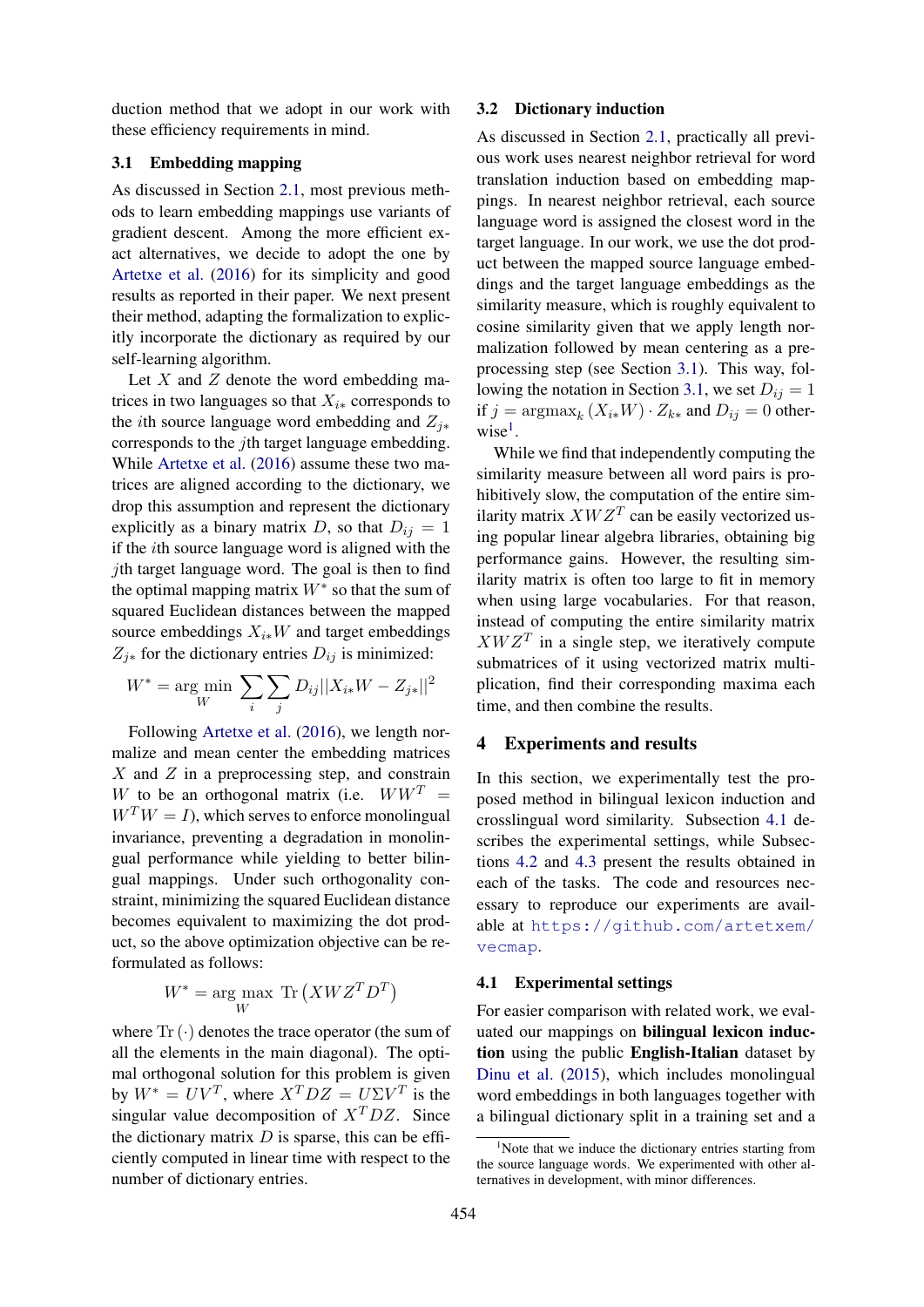duction method that we adopt in our work with these efficiency requirements in mind.

## 3.1 Embedding mapping

As discussed in Section 2.1, most previous methods to learn embedding mappings use variants of gradient descent. Among the more efficient exact alternatives, we decide to adopt the one by Artetxe et al. (2016) for its simplicity and good results as reported in their paper. We next present their method, adapting the formalization to explicitly incorporate the dictionary as required by our self-learning algorithm.

Let  $X$  and  $Z$  denote the word embedding matrices in two languages so that  $X_{i*}$  corresponds to the *i*th source language word embedding and  $Z_{i*}$ corresponds to the jth target language embedding. While Artetxe et al. (2016) assume these two matrices are aligned according to the dictionary, we drop this assumption and represent the dictionary explicitly as a binary matrix D, so that  $D_{ij} = 1$ if the ith source language word is aligned with the *i*th target language word. The goal is then to find the optimal mapping matrix  $W^*$  so that the sum of squared Euclidean distances between the mapped source embeddings  $X_{i*}W$  and target embeddings  $Z_{i*}$  for the dictionary entries  $D_{ij}$  is minimized:

$$
W^* = \underset{W}{\text{arg min}} \sum_{i} \sum_{j} D_{ij} ||X_{i*}W - Z_{j*}||^2
$$

Following Artetxe et al. (2016), we length normalize and mean center the embedding matrices  $X$  and  $Z$  in a preprocessing step, and constrain W to be an orthogonal matrix (i.e.  $WW^T =$  $W<sup>T</sup>W = I$ , which serves to enforce monolingual invariance, preventing a degradation in monolingual performance while yielding to better bilingual mappings. Under such orthogonality constraint, minimizing the squared Euclidean distance becomes equivalent to maximizing the dot product, so the above optimization objective can be reformulated as follows:

$$
W^* = \underset{W}{\arg\max} \ \mathrm{Tr} \left( X W Z^T D^T \right)
$$

where  $\text{Tr}(\cdot)$  denotes the trace operator (the sum of all the elements in the main diagonal). The optimal orthogonal solution for this problem is given by  $W^* = UV^T$ , where  $X^T DZ = U\Sigma V^T$  is the singular value decomposition of  $X^T DZ$ . Since the dictionary matrix  $D$  is sparse, this can be efficiently computed in linear time with respect to the number of dictionary entries.

#### 3.2 Dictionary induction

As discussed in Section 2.1, practically all previous work uses nearest neighbor retrieval for word translation induction based on embedding mappings. In nearest neighbor retrieval, each source language word is assigned the closest word in the target language. In our work, we use the dot product between the mapped source language embeddings and the target language embeddings as the similarity measure, which is roughly equivalent to cosine similarity given that we apply length normalization followed by mean centering as a preprocessing step (see Section 3.1). This way, following the notation in Section 3.1, we set  $D_{ij} = 1$ if  $j = \operatorname{argmax}_k (X_{i*}W) \cdot Z_{k*}$  and  $D_{ij} = 0$  otherwise<sup>1</sup>.

While we find that independently computing the similarity measure between all word pairs is prohibitively slow, the computation of the entire similarity matrix  $XWZ<sup>T</sup>$  can be easily vectorized using popular linear algebra libraries, obtaining big performance gains. However, the resulting similarity matrix is often too large to fit in memory when using large vocabularies. For that reason, instead of computing the entire similarity matrix  $XWZ<sup>T</sup>$  in a single step, we iteratively compute submatrices of it using vectorized matrix multiplication, find their corresponding maxima each time, and then combine the results.

#### 4 Experiments and results

In this section, we experimentally test the proposed method in bilingual lexicon induction and crosslingual word similarity. Subsection 4.1 describes the experimental settings, while Subsections 4.2 and 4.3 present the results obtained in each of the tasks. The code and resources necessary to reproduce our experiments are available at https://github.com/artetxem/ vecmap.

#### 4.1 Experimental settings

For easier comparison with related work, we evaluated our mappings on bilingual lexicon induction using the public English-Italian dataset by Dinu et al. (2015), which includes monolingual word embeddings in both languages together with a bilingual dictionary split in a training set and a

<sup>&</sup>lt;sup>1</sup>Note that we induce the dictionary entries starting from the source language words. We experimented with other alternatives in development, with minor differences.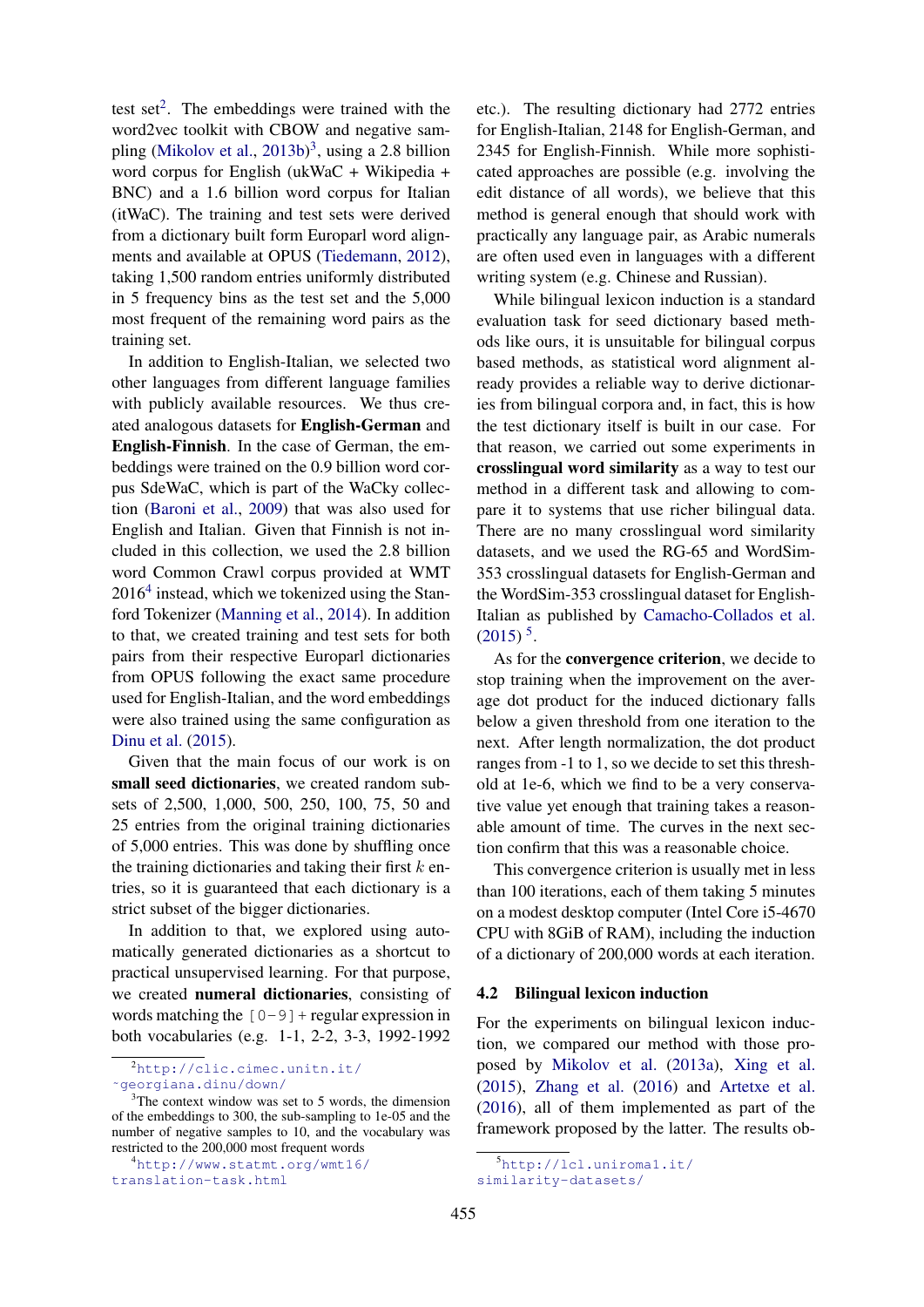test set<sup>2</sup>. The embeddings were trained with the word2vec toolkit with CBOW and negative sampling (Mikolov et al., 2013b)<sup>3</sup>, using a 2.8 billion word corpus for English (ukWaC + Wikipedia + BNC) and a 1.6 billion word corpus for Italian (itWaC). The training and test sets were derived from a dictionary built form Europarl word alignments and available at OPUS (Tiedemann, 2012), taking 1,500 random entries uniformly distributed in 5 frequency bins as the test set and the 5,000 most frequent of the remaining word pairs as the training set.

In addition to English-Italian, we selected two other languages from different language families with publicly available resources. We thus created analogous datasets for English-German and English-Finnish. In the case of German, the embeddings were trained on the 0.9 billion word corpus SdeWaC, which is part of the WaCky collection (Baroni et al., 2009) that was also used for English and Italian. Given that Finnish is not included in this collection, we used the 2.8 billion word Common Crawl corpus provided at WMT  $2016<sup>4</sup>$  instead, which we tokenized using the Stanford Tokenizer (Manning et al., 2014). In addition to that, we created training and test sets for both pairs from their respective Europarl dictionaries from OPUS following the exact same procedure used for English-Italian, and the word embeddings were also trained using the same configuration as Dinu et al. (2015).

Given that the main focus of our work is on small seed dictionaries, we created random subsets of 2,500, 1,000, 500, 250, 100, 75, 50 and 25 entries from the original training dictionaries of 5,000 entries. This was done by shuffling once the training dictionaries and taking their first  $k$  entries, so it is guaranteed that each dictionary is a strict subset of the bigger dictionaries.

In addition to that, we explored using automatically generated dictionaries as a shortcut to practical unsupervised learning. For that purpose, we created numeral dictionaries, consisting of words matching the  $[0-9]+$  regular expression in both vocabularies (e.g. 1-1, 2-2, 3-3, 1992-1992 etc.). The resulting dictionary had 2772 entries for English-Italian, 2148 for English-German, and 2345 for English-Finnish. While more sophisticated approaches are possible (e.g. involving the edit distance of all words), we believe that this method is general enough that should work with practically any language pair, as Arabic numerals are often used even in languages with a different writing system (e.g. Chinese and Russian).

While bilingual lexicon induction is a standard evaluation task for seed dictionary based methods like ours, it is unsuitable for bilingual corpus based methods, as statistical word alignment already provides a reliable way to derive dictionaries from bilingual corpora and, in fact, this is how the test dictionary itself is built in our case. For that reason, we carried out some experiments in crosslingual word similarity as a way to test our method in a different task and allowing to compare it to systems that use richer bilingual data. There are no many crosslingual word similarity datasets, and we used the RG-65 and WordSim-353 crosslingual datasets for English-German and the WordSim-353 crosslingual dataset for English-Italian as published by Camacho-Collados et al.  $(2015)^5$ .

As for the convergence criterion, we decide to stop training when the improvement on the average dot product for the induced dictionary falls below a given threshold from one iteration to the next. After length normalization, the dot product ranges from -1 to 1, so we decide to set this threshold at 1e-6, which we find to be a very conservative value yet enough that training takes a reasonable amount of time. The curves in the next section confirm that this was a reasonable choice.

This convergence criterion is usually met in less than 100 iterations, each of them taking 5 minutes on a modest desktop computer (Intel Core i5-4670 CPU with 8GiB of RAM), including the induction of a dictionary of 200,000 words at each iteration.

# 4.2 Bilingual lexicon induction

For the experiments on bilingual lexicon induction, we compared our method with those proposed by Mikolov et al. (2013a), Xing et al. (2015), Zhang et al. (2016) and Artetxe et al. (2016), all of them implemented as part of the framework proposed by the latter. The results ob-

<sup>2</sup>http://clic.cimec.unitn.it/

<sup>˜</sup>georgiana.dinu/down/

<sup>&</sup>lt;sup>3</sup>The context window was set to 5 words, the dimension of the embeddings to 300, the sub-sampling to 1e-05 and the number of negative samples to 10, and the vocabulary was restricted to the 200,000 most frequent words

<sup>4</sup>http://www.statmt.org/wmt16/ translation-task.html

<sup>5</sup>http://lcl.uniroma1.it/

similarity-datasets/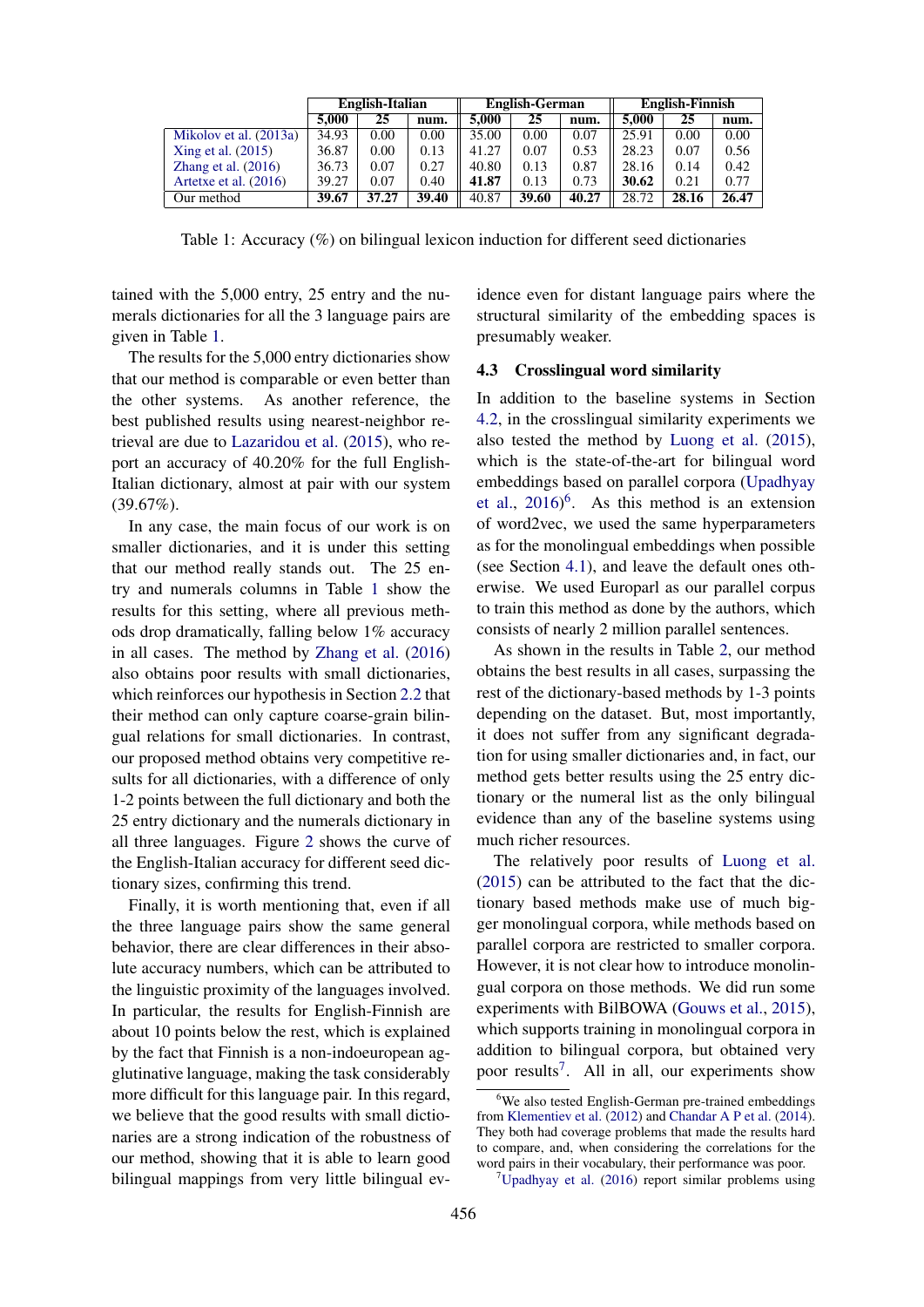|                         | English-Italian |       |       | <b>English-German</b> |       |       | <b>English-Finnish</b> |       |       |
|-------------------------|-----------------|-------|-------|-----------------------|-------|-------|------------------------|-------|-------|
|                         | 5.000           | 25    | num.  | 5.000                 | 25    | num.  | 5.000                  | 25    | num.  |
| Mikolov et al. (2013a)  | 34.93           | 0.00  | 0.00  | 35.00                 | 0.00  | 0.07  | 25.91                  | 0.00  | 0.00  |
| Xing et al. (2015)      | 36.87           | 0.00  | 0.13  | 41.27                 | 0.07  | 0.53  | 28.23                  | 0.07  | 0.56  |
| Zhang et al. $(2016)$   | 36.73           | 0.07  | 0.27  | 40.80                 | 0.13  | 0.87  | 28.16                  | 0.14  | 0.42  |
| Artetxe et al. $(2016)$ | 39.27           | 0.07  | 0.40  | 41.87                 | 0.13  | 0.73  | 30.62                  | 0.21  | 0.77  |
| Our method              | 39.67           | 37.27 | 39.40 | 40.87                 | 39.60 | 40.27 | 28.72                  | 28.16 | 26.47 |

Table 1: Accuracy (%) on bilingual lexicon induction for different seed dictionaries

tained with the 5,000 entry, 25 entry and the numerals dictionaries for all the 3 language pairs are given in Table 1.

The results for the 5,000 entry dictionaries show that our method is comparable or even better than the other systems. As another reference, the best published results using nearest-neighbor retrieval are due to Lazaridou et al. (2015), who report an accuracy of 40.20% for the full English-Italian dictionary, almost at pair with our system (39.67%).

In any case, the main focus of our work is on smaller dictionaries, and it is under this setting that our method really stands out. The 25 entry and numerals columns in Table 1 show the results for this setting, where all previous methods drop dramatically, falling below 1% accuracy in all cases. The method by Zhang et al. (2016) also obtains poor results with small dictionaries, which reinforces our hypothesis in Section 2.2 that their method can only capture coarse-grain bilingual relations for small dictionaries. In contrast, our proposed method obtains very competitive results for all dictionaries, with a difference of only 1-2 points between the full dictionary and both the 25 entry dictionary and the numerals dictionary in all three languages. Figure 2 shows the curve of the English-Italian accuracy for different seed dictionary sizes, confirming this trend.

Finally, it is worth mentioning that, even if all the three language pairs show the same general behavior, there are clear differences in their absolute accuracy numbers, which can be attributed to the linguistic proximity of the languages involved. In particular, the results for English-Finnish are about 10 points below the rest, which is explained by the fact that Finnish is a non-indoeuropean agglutinative language, making the task considerably more difficult for this language pair. In this regard, we believe that the good results with small dictionaries are a strong indication of the robustness of our method, showing that it is able to learn good bilingual mappings from very little bilingual evidence even for distant language pairs where the structural similarity of the embedding spaces is presumably weaker.

## 4.3 Crosslingual word similarity

In addition to the baseline systems in Section 4.2, in the crosslingual similarity experiments we also tested the method by Luong et al. (2015), which is the state-of-the-art for bilingual word embeddings based on parallel corpora (Upadhyay et al., 2016) 6 . As this method is an extension of word2vec, we used the same hyperparameters as for the monolingual embeddings when possible (see Section 4.1), and leave the default ones otherwise. We used Europarl as our parallel corpus to train this method as done by the authors, which consists of nearly 2 million parallel sentences.

As shown in the results in Table 2, our method obtains the best results in all cases, surpassing the rest of the dictionary-based methods by 1-3 points depending on the dataset. But, most importantly, it does not suffer from any significant degradation for using smaller dictionaries and, in fact, our method gets better results using the 25 entry dictionary or the numeral list as the only bilingual evidence than any of the baseline systems using much richer resources.

The relatively poor results of Luong et al. (2015) can be attributed to the fact that the dictionary based methods make use of much bigger monolingual corpora, while methods based on parallel corpora are restricted to smaller corpora. However, it is not clear how to introduce monolingual corpora on those methods. We did run some experiments with BilBOWA (Gouws et al., 2015), which supports training in monolingual corpora in addition to bilingual corpora, but obtained very poor results<sup>7</sup>. All in all, our experiments show

<sup>&</sup>lt;sup>6</sup>We also tested English-German pre-trained embeddings from Klementiev et al. (2012) and Chandar A P et al. (2014). They both had coverage problems that made the results hard to compare, and, when considering the correlations for the word pairs in their vocabulary, their performance was poor.

 $7$ Upadhyay et al. (2016) report similar problems using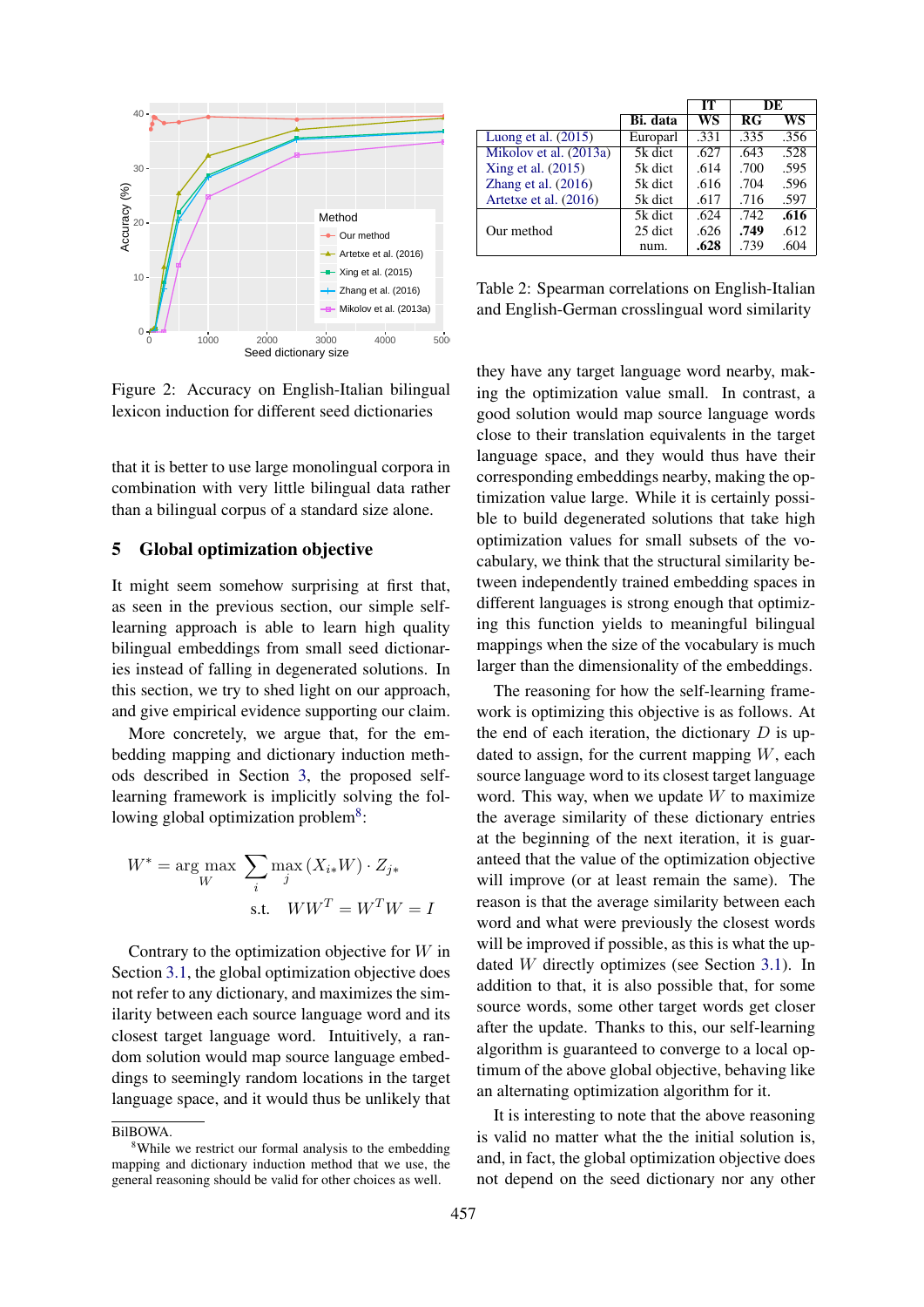

Figure 2: Accuracy on English-Italian bilingual lexicon induction for different seed dictionaries

that it is better to use large monolingual corpora in combination with very little bilingual data rather than a bilingual corpus of a standard size alone.

#### 5 Global optimization objective

It might seem somehow surprising at first that, as seen in the previous section, our simple selflearning approach is able to learn high quality bilingual embeddings from small seed dictionaries instead of falling in degenerated solutions. In this section, we try to shed light on our approach, and give empirical evidence supporting our claim.

More concretely, we argue that, for the embedding mapping and dictionary induction methods described in Section 3, the proposed selflearning framework is implicitly solving the following global optimization problem<sup>8</sup>:

$$
W^* = \underset{W}{\text{arg max}} \sum_{i} \underset{j}{\text{max}} (X_{i*}W) \cdot Z_{j*}
$$
  
s.t. 
$$
WW^T = W^T W = I
$$

Contrary to the optimization objective for  $W$  in Section 3.1, the global optimization objective does not refer to any dictionary, and maximizes the similarity between each source language word and its closest target language word. Intuitively, a random solution would map source language embeddings to seemingly random locations in the target language space, and it would thus be unlikely that

|                        |          | IТ   | DE   |      |
|------------------------|----------|------|------|------|
|                        | Bi. data | WS   | R G  | WS   |
| Luong et al. $(2015)$  | Europarl | .331 | .335 | .356 |
| Mikolov et al. (2013a) | 5k dict  | .627 | .643 | .528 |
| Xing et al. (2015)     | 5k dict  | .614 | .700 | .595 |
| Zhang et al. $(2016)$  | 5k dict  | .616 | .704 | .596 |
| Artetxe et al. (2016)  | 5k dict  | .617 | .716 | .597 |
|                        | 5k dict  | .624 | .742 | .616 |
| Our method             | 25 dict  | .626 | .749 | .612 |
|                        | num.     | .628 | .739 | .604 |

Table 2: Spearman correlations on English-Italian and English-German crosslingual word similarity

they have any target language word nearby, making the optimization value small. In contrast, a good solution would map source language words close to their translation equivalents in the target language space, and they would thus have their corresponding embeddings nearby, making the optimization value large. While it is certainly possible to build degenerated solutions that take high optimization values for small subsets of the vocabulary, we think that the structural similarity between independently trained embedding spaces in different languages is strong enough that optimizing this function yields to meaningful bilingual mappings when the size of the vocabulary is much larger than the dimensionality of the embeddings.

The reasoning for how the self-learning framework is optimizing this objective is as follows. At the end of each iteration, the dictionary  $D$  is updated to assign, for the current mapping  $W$ , each source language word to its closest target language word. This way, when we update  $W$  to maximize the average similarity of these dictionary entries at the beginning of the next iteration, it is guaranteed that the value of the optimization objective will improve (or at least remain the same). The reason is that the average similarity between each word and what were previously the closest words will be improved if possible, as this is what the updated W directly optimizes (see Section 3.1). In addition to that, it is also possible that, for some source words, some other target words get closer after the update. Thanks to this, our self-learning algorithm is guaranteed to converge to a local optimum of the above global objective, behaving like an alternating optimization algorithm for it.

It is interesting to note that the above reasoning is valid no matter what the the initial solution is, and, in fact, the global optimization objective does not depend on the seed dictionary nor any other

BilBOWA.

<sup>&</sup>lt;sup>8</sup>While we restrict our formal analysis to the embedding mapping and dictionary induction method that we use, the general reasoning should be valid for other choices as well.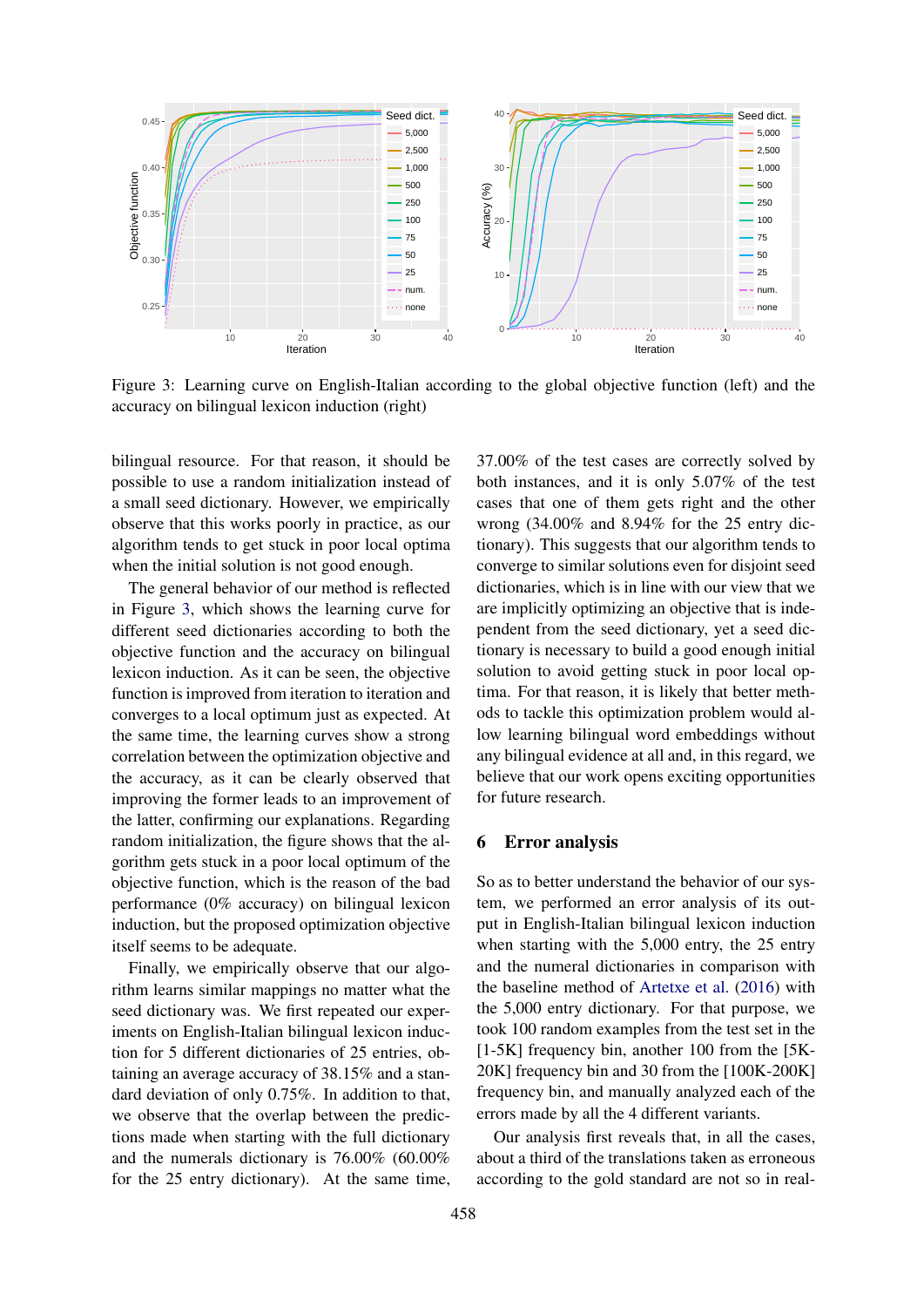

Figure 3: Learning curve on English-Italian according to the global objective function (left) and the accuracy on bilingual lexicon induction (right)

bilingual resource. For that reason, it should be possible to use a random initialization instead of a small seed dictionary. However, we empirically observe that this works poorly in practice, as our algorithm tends to get stuck in poor local optima when the initial solution is not good enough.

The general behavior of our method is reflected in Figure 3, which shows the learning curve for different seed dictionaries according to both the objective function and the accuracy on bilingual lexicon induction. As it can be seen, the objective function is improved from iteration to iteration and converges to a local optimum just as expected. At the same time, the learning curves show a strong correlation between the optimization objective and the accuracy, as it can be clearly observed that improving the former leads to an improvement of the latter, confirming our explanations. Regarding random initialization, the figure shows that the algorithm gets stuck in a poor local optimum of the objective function, which is the reason of the bad performance (0% accuracy) on bilingual lexicon induction, but the proposed optimization objective itself seems to be adequate.

Finally, we empirically observe that our algorithm learns similar mappings no matter what the seed dictionary was. We first repeated our experiments on English-Italian bilingual lexicon induction for 5 different dictionaries of 25 entries, obtaining an average accuracy of 38.15% and a standard deviation of only 0.75%. In addition to that, we observe that the overlap between the predictions made when starting with the full dictionary and the numerals dictionary is 76.00% (60.00% for the 25 entry dictionary). At the same time,

37.00% of the test cases are correctly solved by both instances, and it is only 5.07% of the test cases that one of them gets right and the other wrong (34.00% and 8.94% for the 25 entry dictionary). This suggests that our algorithm tends to converge to similar solutions even for disjoint seed dictionaries, which is in line with our view that we are implicitly optimizing an objective that is independent from the seed dictionary, yet a seed dictionary is necessary to build a good enough initial solution to avoid getting stuck in poor local optima. For that reason, it is likely that better methods to tackle this optimization problem would allow learning bilingual word embeddings without any bilingual evidence at all and, in this regard, we believe that our work opens exciting opportunities for future research.

## 6 Error analysis

So as to better understand the behavior of our system, we performed an error analysis of its output in English-Italian bilingual lexicon induction when starting with the 5,000 entry, the 25 entry and the numeral dictionaries in comparison with the baseline method of Artetxe et al. (2016) with the 5,000 entry dictionary. For that purpose, we took 100 random examples from the test set in the [1-5K] frequency bin, another 100 from the [5K-20K] frequency bin and 30 from the [100K-200K] frequency bin, and manually analyzed each of the errors made by all the 4 different variants.

Our analysis first reveals that, in all the cases, about a third of the translations taken as erroneous according to the gold standard are not so in real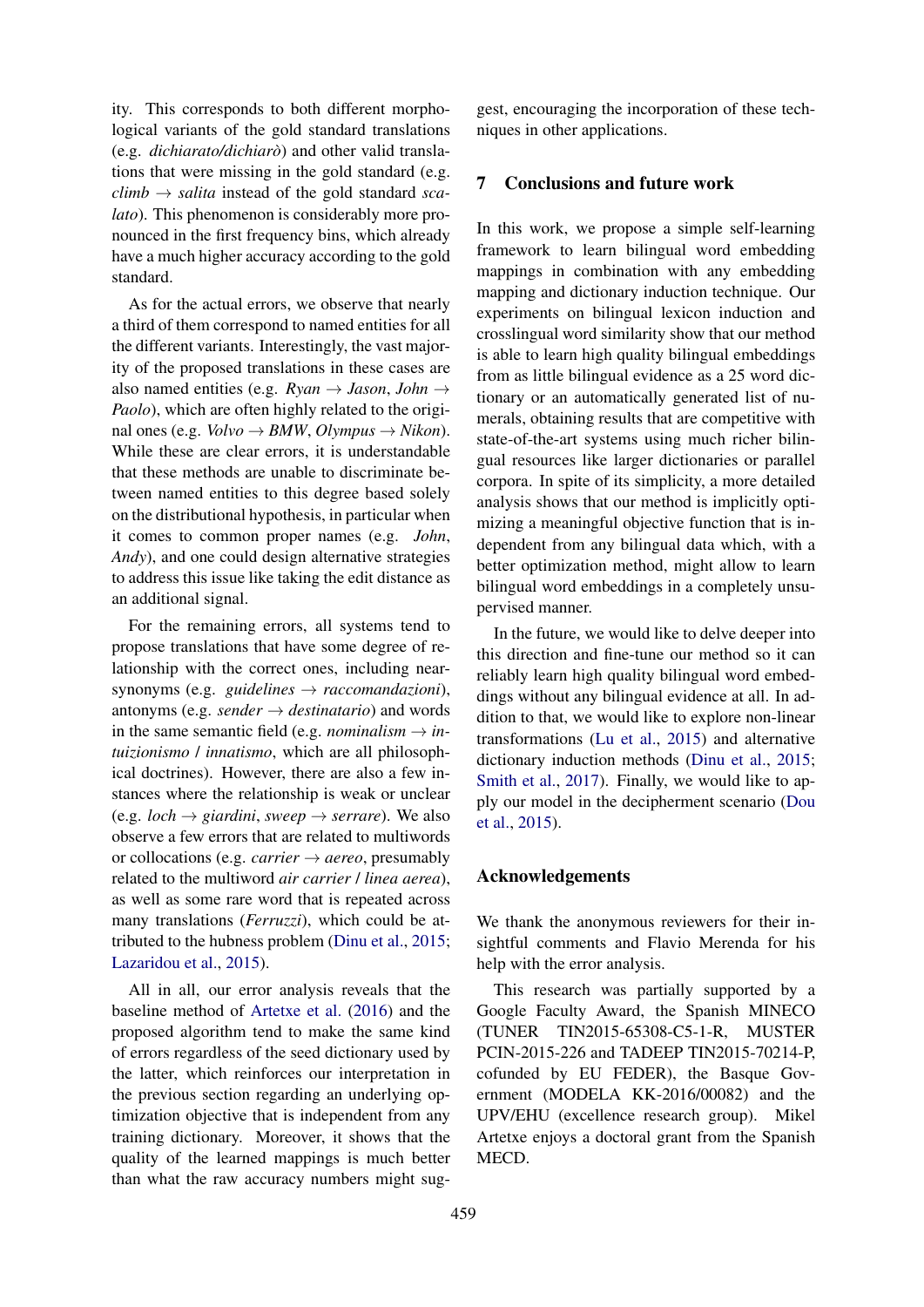ity. This corresponds to both different morphological variants of the gold standard translations (e.g. *dichiarato/dichiaro`*) and other valid translations that were missing in the gold standard (e.g.  $climb \rightarrow$  *salita* instead of the gold standard *scalato*). This phenomenon is considerably more pronounced in the first frequency bins, which already have a much higher accuracy according to the gold standard.

As for the actual errors, we observe that nearly a third of them correspond to named entities for all the different variants. Interestingly, the vast majority of the proposed translations in these cases are also named entities (e.g.  $Ryan \rightarrow Jason, John \rightarrow$ *Paolo*), which are often highly related to the original ones (e.g.  $\textit{Volvo} \rightarrow \textit{BAW}, \textit{Olympus} \rightarrow \textit{Nikon}$ ). While these are clear errors, it is understandable that these methods are unable to discriminate between named entities to this degree based solely on the distributional hypothesis, in particular when it comes to common proper names (e.g. *John*, *Andy*), and one could design alternative strategies to address this issue like taking the edit distance as an additional signal.

For the remaining errors, all systems tend to propose translations that have some degree of relationship with the correct ones, including nearsynonyms (e.g. *guidelines* → *raccomandazioni*), antonyms (e.g. *sender*  $\rightarrow$  *destinatario*) and words in the same semantic field (e.g. *nominalism*  $\rightarrow$  *intuizionismo* / *innatismo*, which are all philosophical doctrines). However, there are also a few instances where the relationship is weak or unclear (e.g. *loch*  $\rightarrow$  *giardini*, *sweep*  $\rightarrow$  *serrare*). We also observe a few errors that are related to multiwords or collocations (e.g. *carrier*  $\rightarrow$  *aereo*, presumably related to the multiword *air carrier* / *linea aerea*), as well as some rare word that is repeated across many translations (*Ferruzzi*), which could be attributed to the hubness problem (Dinu et al., 2015; Lazaridou et al., 2015).

All in all, our error analysis reveals that the baseline method of Artetxe et al. (2016) and the proposed algorithm tend to make the same kind of errors regardless of the seed dictionary used by the latter, which reinforces our interpretation in the previous section regarding an underlying optimization objective that is independent from any training dictionary. Moreover, it shows that the quality of the learned mappings is much better than what the raw accuracy numbers might suggest, encouraging the incorporation of these techniques in other applications.

# 7 Conclusions and future work

In this work, we propose a simple self-learning framework to learn bilingual word embedding mappings in combination with any embedding mapping and dictionary induction technique. Our experiments on bilingual lexicon induction and crosslingual word similarity show that our method is able to learn high quality bilingual embeddings from as little bilingual evidence as a 25 word dictionary or an automatically generated list of numerals, obtaining results that are competitive with state-of-the-art systems using much richer bilingual resources like larger dictionaries or parallel corpora. In spite of its simplicity, a more detailed analysis shows that our method is implicitly optimizing a meaningful objective function that is independent from any bilingual data which, with a better optimization method, might allow to learn bilingual word embeddings in a completely unsupervised manner.

In the future, we would like to delve deeper into this direction and fine-tune our method so it can reliably learn high quality bilingual word embeddings without any bilingual evidence at all. In addition to that, we would like to explore non-linear transformations (Lu et al., 2015) and alternative dictionary induction methods (Dinu et al., 2015; Smith et al., 2017). Finally, we would like to apply our model in the decipherment scenario (Dou et al., 2015).

#### Acknowledgements

We thank the anonymous reviewers for their insightful comments and Flavio Merenda for his help with the error analysis.

This research was partially supported by a Google Faculty Award, the Spanish MINECO (TUNER TIN2015-65308-C5-1-R, MUSTER PCIN-2015-226 and TADEEP TIN2015-70214-P, cofunded by EU FEDER), the Basque Government (MODELA KK-2016/00082) and the UPV/EHU (excellence research group). Mikel Artetxe enjoys a doctoral grant from the Spanish MECD.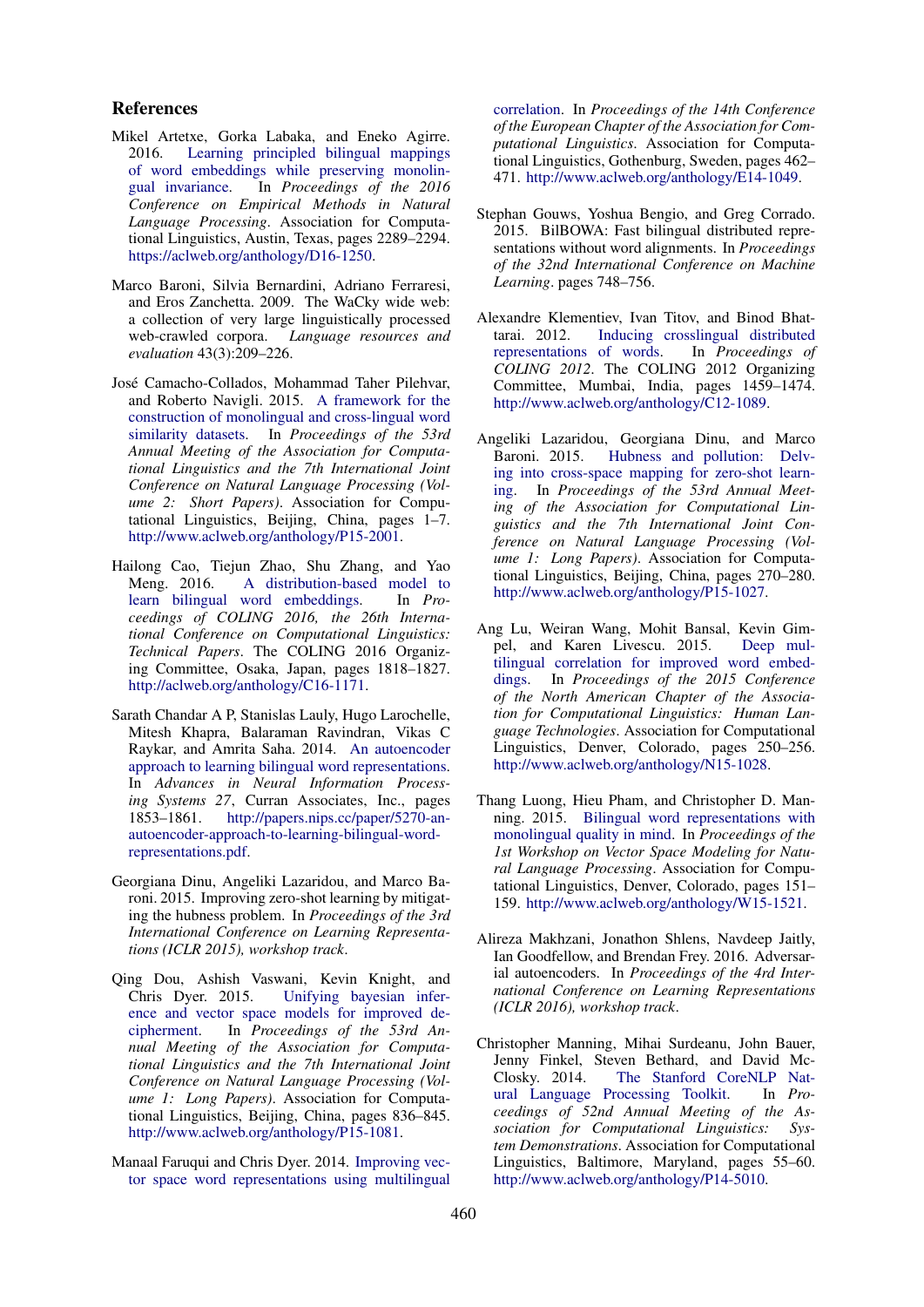#### References

- Mikel Artetxe, Gorka Labaka, and Eneko Agirre. 2016. Learning principled bilingual mappings of word embeddings while preserving monolingual invariance. In *Proceedings of the 2016 Conference on Empirical Methods in Natural Language Processing*. Association for Computational Linguistics, Austin, Texas, pages 2289–2294. https://aclweb.org/anthology/D16-1250.
- Marco Baroni, Silvia Bernardini, Adriano Ferraresi, and Eros Zanchetta. 2009. The WaCky wide web: a collection of very large linguistically processed web-crawled corpora. *Language resources and evaluation* 43(3):209–226.
- Jose Camacho-Collados, Mohammad Taher Pilehvar, ´ and Roberto Navigli. 2015. A framework for the construction of monolingual and cross-lingual word similarity datasets. In *Proceedings of the 53rd Annual Meeting of the Association for Computational Linguistics and the 7th International Joint Conference on Natural Language Processing (Volume 2: Short Papers)*. Association for Computational Linguistics, Beijing, China, pages 1–7. http://www.aclweb.org/anthology/P15-2001.
- Hailong Cao, Tiejun Zhao, Shu Zhang, and Yao Meng. 2016. A distribution-based model to learn bilingual word embeddings. In *Proceedings of COLING 2016, the 26th International Conference on Computational Linguistics: Technical Papers*. The COLING 2016 Organizing Committee, Osaka, Japan, pages 1818–1827. http://aclweb.org/anthology/C16-1171.
- Sarath Chandar A P, Stanislas Lauly, Hugo Larochelle, Mitesh Khapra, Balaraman Ravindran, Vikas C Raykar, and Amrita Saha. 2014. An autoencoder approach to learning bilingual word representations. In *Advances in Neural Information Processing Systems 27*, Curran Associates, Inc., pages 1853–1861. http://papers.nips.cc/paper/5270-anautoencoder-approach-to-learning-bilingual-wordrepresentations.pdf.
- Georgiana Dinu, Angeliki Lazaridou, and Marco Baroni. 2015. Improving zero-shot learning by mitigating the hubness problem. In *Proceedings of the 3rd International Conference on Learning Representations (ICLR 2015), workshop track*.
- Qing Dou, Ashish Vaswani, Kevin Knight, and Chris Dyer. 2015. Unifying bayesian inference and vector space models for improved de-<br>cipherment. In Proceedings of the 53rd An-In *Proceedings of the 53rd Annual Meeting of the Association for Computational Linguistics and the 7th International Joint Conference on Natural Language Processing (Volume 1: Long Papers)*. Association for Computational Linguistics, Beijing, China, pages 836–845. http://www.aclweb.org/anthology/P15-1081.
- Manaal Faruqui and Chris Dyer. 2014. Improving vector space word representations using multilingual

correlation. In *Proceedings of the 14th Conference of the European Chapter of the Association for Computational Linguistics*. Association for Computational Linguistics, Gothenburg, Sweden, pages 462– 471. http://www.aclweb.org/anthology/E14-1049.

- Stephan Gouws, Yoshua Bengio, and Greg Corrado. 2015. BilBOWA: Fast bilingual distributed representations without word alignments. In *Proceedings of the 32nd International Conference on Machine Learning*. pages 748–756.
- Alexandre Klementiev, Ivan Titov, and Binod Bhattarai. 2012. Inducing crosslingual distributed representations of words. In *Proceedings of COLING 2012*. The COLING 2012 Organizing Committee, Mumbai, India, pages 1459–1474. http://www.aclweb.org/anthology/C12-1089.
- Angeliki Lazaridou, Georgiana Dinu, and Marco Baroni. 2015. Hubness and pollution: Delving into cross-space mapping for zero-shot learning. In *Proceedings of the 53rd Annual Meeting of the Association for Computational Linguistics and the 7th International Joint Conference on Natural Language Processing (Volume 1: Long Papers)*. Association for Computational Linguistics, Beijing, China, pages 270–280. http://www.aclweb.org/anthology/P15-1027.
- Ang Lu, Weiran Wang, Mohit Bansal, Kevin Gimpel, and Karen Livescu. 2015. Deep multilingual correlation for improved word embeddings. In *Proceedings of the 2015 Conference of the North American Chapter of the Association for Computational Linguistics: Human Language Technologies*. Association for Computational Linguistics, Denver, Colorado, pages 250–256. http://www.aclweb.org/anthology/N15-1028.
- Thang Luong, Hieu Pham, and Christopher D. Manning. 2015. Bilingual word representations with monolingual quality in mind. In *Proceedings of the 1st Workshop on Vector Space Modeling for Natural Language Processing*. Association for Computational Linguistics, Denver, Colorado, pages 151– 159. http://www.aclweb.org/anthology/W15-1521.
- Alireza Makhzani, Jonathon Shlens, Navdeep Jaitly, Ian Goodfellow, and Brendan Frey. 2016. Adversarial autoencoders. In *Proceedings of the 4rd International Conference on Learning Representations (ICLR 2016), workshop track*.
- Christopher Manning, Mihai Surdeanu, John Bauer, Jenny Finkel, Steven Bethard, and David Mc-Closky. 2014. The Stanford CoreNLP Nat-<br>ural Language Processing Toolkit. In Proural Language Processing Toolkit. *ceedings of 52nd Annual Meeting of the Association for Computational Linguistics: System Demonstrations*. Association for Computational Linguistics, Baltimore, Maryland, pages 55–60. http://www.aclweb.org/anthology/P14-5010.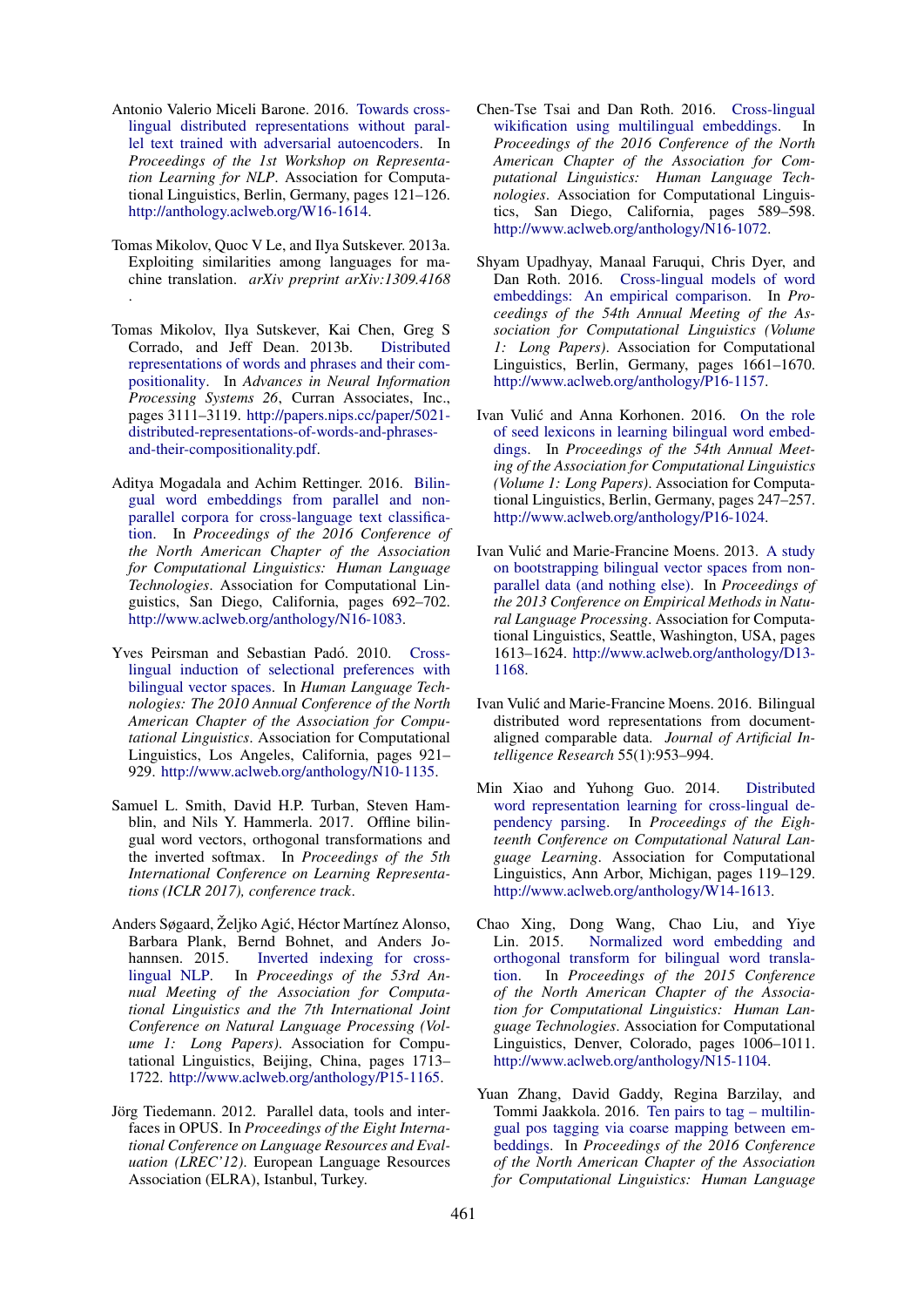- Antonio Valerio Miceli Barone. 2016. Towards crosslingual distributed representations without parallel text trained with adversarial autoencoders. In *Proceedings of the 1st Workshop on Representation Learning for NLP*. Association for Computational Linguistics, Berlin, Germany, pages 121–126. http://anthology.aclweb.org/W16-1614.
- Tomas Mikolov, Quoc V Le, and Ilya Sutskever. 2013a. Exploiting similarities among languages for machine translation. *arXiv preprint arXiv:1309.4168* .
- Tomas Mikolov, Ilya Sutskever, Kai Chen, Greg S Corrado, and Jeff Dean. 2013b. Distributed representations of words and phrases and their compositionality. In *Advances in Neural Information Processing Systems 26*, Curran Associates, Inc., pages 3111–3119. http://papers.nips.cc/paper/5021 distributed-representations-of-words-and-phrasesand-their-compositionality.pdf.
- Aditya Mogadala and Achim Rettinger. 2016. Bilingual word embeddings from parallel and nonparallel corpora for cross-language text classification. In *Proceedings of the 2016 Conference of the North American Chapter of the Association for Computational Linguistics: Human Language Technologies*. Association for Computational Linguistics, San Diego, California, pages 692–702. http://www.aclweb.org/anthology/N16-1083.
- Yves Peirsman and Sebastian Padó. 2010. Crosslingual induction of selectional preferences with bilingual vector spaces. In *Human Language Technologies: The 2010 Annual Conference of the North American Chapter of the Association for Computational Linguistics*. Association for Computational Linguistics, Los Angeles, California, pages 921– 929. http://www.aclweb.org/anthology/N10-1135.
- Samuel L. Smith, David H.P. Turban, Steven Hamblin, and Nils Y. Hammerla. 2017. Offline bilingual word vectors, orthogonal transformations and the inverted softmax. In *Proceedings of the 5th International Conference on Learning Representations (ICLR 2017), conference track*.
- Anders Søgaard, Željko Agić, Héctor Martínez Alonso, Barbara Plank, Bernd Bohnet, and Anders Johannsen. 2015. Inverted indexing for crosslingual NLP. In *Proceedings of the 53rd Annual Meeting of the Association for Computational Linguistics and the 7th International Joint Conference on Natural Language Processing (Volume 1: Long Papers)*. Association for Computational Linguistics, Beijing, China, pages 1713– 1722. http://www.aclweb.org/anthology/P15-1165.
- Jörg Tiedemann. 2012. Parallel data, tools and interfaces in OPUS. In *Proceedings of the Eight International Conference on Language Resources and Evaluation (LREC'12)*. European Language Resources Association (ELRA), Istanbul, Turkey.
- Chen-Tse Tsai and Dan Roth. 2016. Cross-lingual wikification using multilingual embeddings. In *Proceedings of the 2016 Conference of the North American Chapter of the Association for Computational Linguistics: Human Language Technologies*. Association for Computational Linguistics, San Diego, California, pages 589–598. http://www.aclweb.org/anthology/N16-1072.
- Shyam Upadhyay, Manaal Faruqui, Chris Dyer, and Dan Roth. 2016. Cross-lingual models of word embeddings: An empirical comparison. In *Proceedings of the 54th Annual Meeting of the Association for Computational Linguistics (Volume 1: Long Papers)*. Association for Computational Linguistics, Berlin, Germany, pages 1661–1670. http://www.aclweb.org/anthology/P16-1157.
- Ivan Vulić and Anna Korhonen. 2016. On the role of seed lexicons in learning bilingual word embeddings. In *Proceedings of the 54th Annual Meeting of the Association for Computational Linguistics (Volume 1: Long Papers)*. Association for Computational Linguistics, Berlin, Germany, pages 247–257. http://www.aclweb.org/anthology/P16-1024.
- Ivan Vulić and Marie-Francine Moens. 2013. A study on bootstrapping bilingual vector spaces from nonparallel data (and nothing else). In *Proceedings of the 2013 Conference on Empirical Methods in Natural Language Processing*. Association for Computational Linguistics, Seattle, Washington, USA, pages 1613–1624. http://www.aclweb.org/anthology/D13- 1168.
- Ivan Vulic and Marie-Francine Moens. 2016. Bilingual ´ distributed word representations from documentaligned comparable data. *Journal of Artificial Intelligence Research* 55(1):953–994.
- Min Xiao and Yuhong Guo. 2014. Distributed word representation learning for cross-lingual dependency parsing. In *Proceedings of the Eighteenth Conference on Computational Natural Language Learning*. Association for Computational Linguistics, Ann Arbor, Michigan, pages 119–129. http://www.aclweb.org/anthology/W14-1613.
- Chao Xing, Dong Wang, Chao Liu, and Yiye Lin. 2015. Normalized word embedding and orthogonal transform for bilingual word translation. In *Proceedings of the 2015 Conference of the North American Chapter of the Association for Computational Linguistics: Human Language Technologies*. Association for Computational Linguistics, Denver, Colorado, pages 1006–1011. http://www.aclweb.org/anthology/N15-1104.
- Yuan Zhang, David Gaddy, Regina Barzilay, and Tommi Jaakkola. 2016. Ten pairs to tag – multilingual pos tagging via coarse mapping between embeddings. In *Proceedings of the 2016 Conference of the North American Chapter of the Association for Computational Linguistics: Human Language*